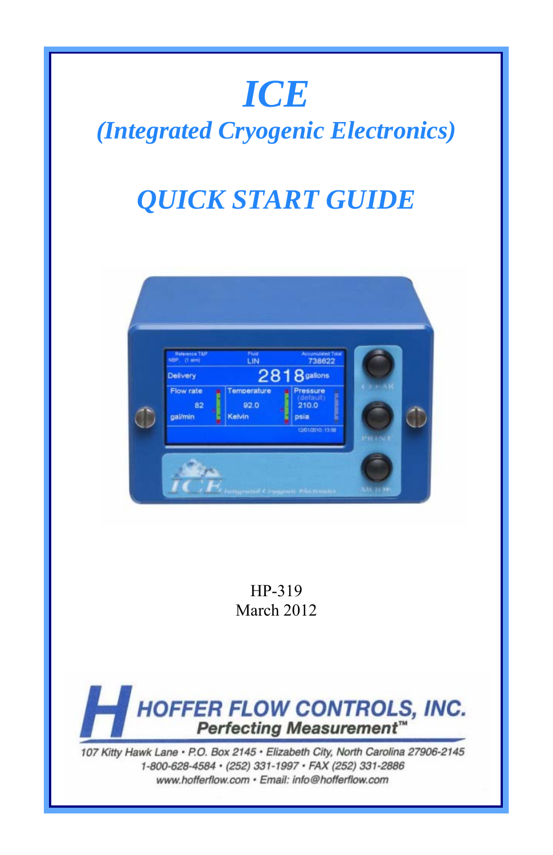# *ICE*

## *(Integrated Cryogenic Electronics)*

## *QUICK START GUIDE*



HP-319 March 2012



107 Kitty Hawk Lane · P.O. Box 2145 · Elizabeth City, North Carolina 27906-2145 1-800-628-4584 · (252) 331-1997 · FAX (252) 331-2886 www.hofferflow.com · Email: info@hofferflow.com

HFC 9708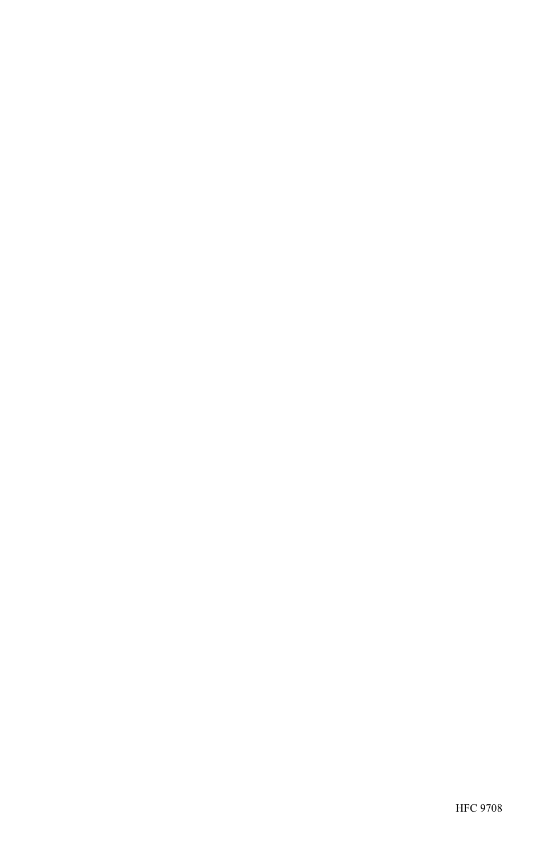HFC 9708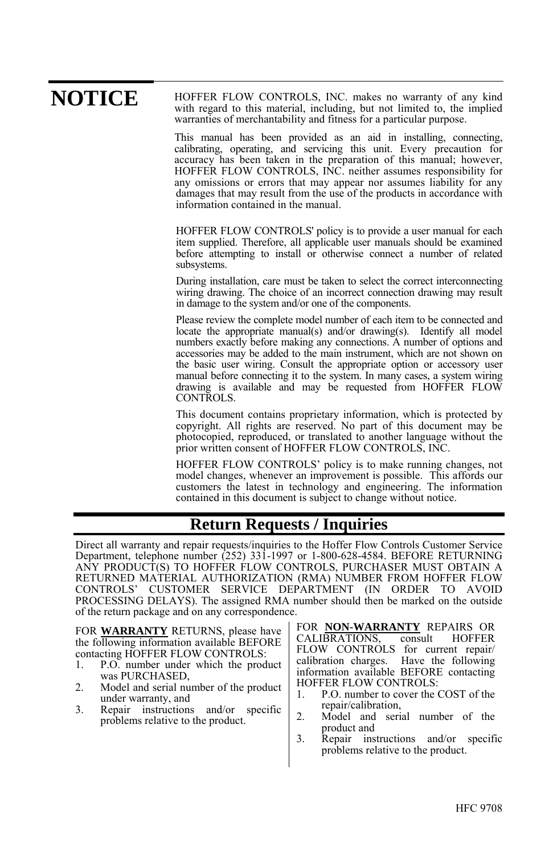#### HOFFER FLOW CONTROLS, INC. makes no warranty of any kind with regard to this material, including, but not limited to, the implied warranties of merchantability and fitness for a particular purpose. **NOTICE**

This manual has been provided as an aid in installing, connecting, calibrating, operating, and servicing this unit. Every precaution for accuracy has been taken in the preparation of this manual; however, HOFFER FLOW CONTROLS, INC. neither assumes responsibility for any omissions or errors that may appear nor assumes liability for any damages that may result from the use of the products in accordance with information contained in the manual.

HOFFER FLOW CONTROLS' policy is to provide a user manual for each item supplied. Therefore, all applicable user manuals should be examined before attempting to install or otherwise connect a number of related subsystems.

During installation, care must be taken to select the correct interconnecting wiring drawing. The choice of an incorrect connection drawing may result in damage to the system and/or one of the components.

Please review the complete model number of each item to be connected and locate the appropriate manual(s) and/or drawing(s). Identify all model numbers exactly before making any connections. A number of options and accessories may be added to the main instrument, which are not shown on the basic user wiring. Consult the appropriate option or accessory user manual before connecting it to the system. In many cases, a system wiring drawing is available and may be requested from HOFFER FLOW CONTROLS.

This document contains proprietary information, which is protected by copyright. All rights are reserved. No part of this document may be photocopied, reproduced, or translated to another language without the prior written consent of HOFFER FLOW CONTROLS, INC.

HOFFER FLOW CONTROLS' policy is to make running changes, not model changes, whenever an improvement is possible. This affords our customers the latest in technology and engineering. The information contained in this document is subject to change without notice.

#### **Return Requests / Inquiries**

Direct all warranty and repair requests/inquiries to the Hoffer Flow Controls Customer Service Department, telephone number (252) 331-1997 or 1-800-628-4584. BEFORE RETURNING ANY PRODUCT(S) TO HOFFER FLOW CONTROLS, PURCHASER MUST OBTAIN A RETURNED MATERIAL AUTHORIZATION (RMA) NUMBER FROM HOFFER FLOW CONTROLS' CUSTOMER SERVICE DEPARTMENT (IN ORDER TO AVOID CUSTOMER SERVICE DEPARTMENT (IN ORDER TO AVOID PROCESSING DELAYS). The assigned RMA number should then be marked on the outside of the return package and on any correspondence.

FOR **WARRANTY** RETURNS, please have the following information available BEFORE contacting HOFFER FLOW CONTROLS:

- 1. P.O. number under which the product was PURCHASED,
- 2. Model and serial number of the product under warranty, and
- 3. Repair instructions and/or specific problems relative to the product.

FOR **NON-WARRANTY** REPAIRS OR CALIBRATIONS, FLOW CONTROLS for current repair/ calibration charges. Have the following information available BEFORE contacting HOFFER FLOW CONTROLS:

- 1. P.O. number to cover the COST of the repair/calibration,
- 2. Model and serial number of the product and
- 3. Repair instructions and/or specific problems relative to the product.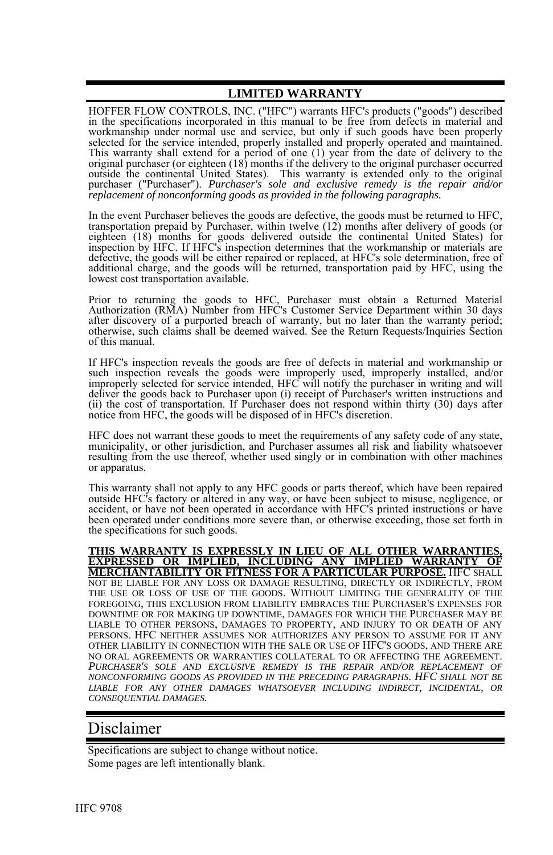#### **LIMITED WARRANTY**

HOFFER FLOW CONTROLS, INC. ("HFC") warrants HFC's products ("goods") described in the specifications incorporated in this manual to be free from defects in material and workmanship under normal use and service, but only if such goods have been properly selected for the service intended, properly installed and properly operated and maintained.<br>This warranty shall extend for a period of one (1) year from the date of delivery to the<br>original purchaser (or eighteen (18) mont outside the continental United States). This warranty is extended only to the original purchaser ("Purchaser"). *Purchaser's sole and exclusive remedy is the repair and/or replacement of nonconforming goods as provided in the following paragraphs.*

In the event Purchaser believes the goods are defective, the goods must be returned to HFC, transportation prepaid by Purchaser, within twelve (12) months after delivery of goods (or eighteen (18) months for goods delivered outside the continental United States) for inspection by HFC. If HFC's inspection determines that the workmanship or materials are defective, the goods will be either repaired or replaced, at HFC's sole determination, free of additional charge, and the goods will be returned, transportation paid by HFC, using the lowest cost transportation available.

Prior to returning the goods to HFC, Purchaser must obtain a Returned Material Authorization (RMA) Number from HFC's Customer Service Department within 30 days after discovery of a purported breach of warranty, but no later than the warranty period; otherwise, such claims shall be deemed waived. See the Return Requests/Inquiries Section of this manual.

If HFC's inspection reveals the goods are free of defects in material and workmanship or such inspection reveals the goods were improperly used, improperly installed, and/or improperly selected for service intended, HFC will notify the purchaser in writing and will deliver the goods back to Purchaser upon (i) receipt of Purchaser's written instructions and (ii) the cost of transportation. If Purchaser does not respond within thirty (30) days after notice from HFC, the goods will be disposed of in HFC's discretion.

HFC does not warrant these goods to meet the requirements of any safety code of any state, municipality, or other jurisdiction, and Purchaser assumes all risk and liability whatsoever resulting from the use thereof, whether used singly or in combination with other machines or apparatus.

This warranty shall not apply to any HFC goods or parts thereof, which have been repaired outside HFC's factory or altered in any way, or have been subject to misuse, negligence, or accident, or have not been operated in accordance with HFC's printed instructions or have been operated under conditions more severe than, or otherwise exceeding, those set forth in the specifications for such goods.

**THIS WARRANTY IS EXPRESSLY IN LIEU OF ALL OTHER WARRANTIES, EXPRESSED OR IMPLIED, INCLUDING ANY IMPLIED WARRANTY OF MERCHANTABILITY OR FITNESS FOR A PARTICULAR PURPOSE.** HFC SHALL NOT BE LIABLE FOR ANY LOSS OR DAMAGE RESULTING, DIRECTLY OR INDIRECTLY, FROM THE USE OR LOSS OF USE OF THE GOODS. WITHOUT LIMITING THE GENERALITY OF THE FOREGOING, THIS EXCLUSION FROM LIABILITY EMBRACES THE PURCHASER'S EXPENSES FOR DOWNTIME OR FOR MAKING UP DOWNTIME, DAMAGES FOR WHICH THE PURCHASER MAY BE LIABLE TO OTHER PERSONS, DAMAGES TO PROPERTY, AND INJURY TO OR DEATH OF ANY PERSONS. HFC NEITHER ASSUMES NOR AUTHORIZES ANY PERSON TO ASSUME FOR IT ANY OTHER LIABILITY IN CONNECTION WITH THE SALE OR USE OF HFC'S GOODS, AND THERE ARE PURCHASER'S SOLE AND EXCLUSIVE REMEDY IS THE REPAIR AND/OR REPLACEMENT OF *NONCONFORMING GOODS AS PROVIDED IN THE PRECEDING PARAGRAPHS. HFC SHALL NOT BE LIABLE FOR ANY OTHER DAMAGES WHATSOEVER INCLUDING INDIRECT, INCIDENTAL, OR CONSEQUENTIAL DAMAGES.* 

#### Disclaimer

Specifications are subject to change without notice. Some pages are left intentionally blank.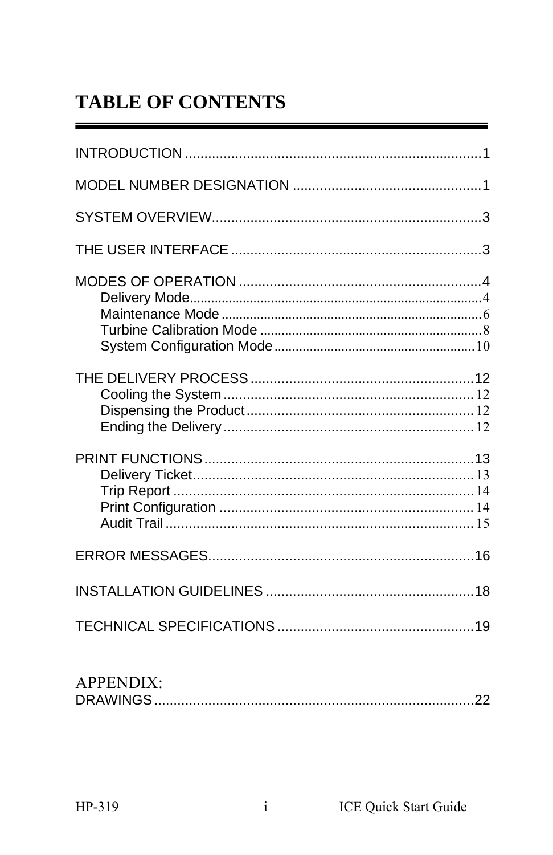## **TABLE OF CONTENTS**

| <b>APPENDIX:</b> |  |
|------------------|--|
|                  |  |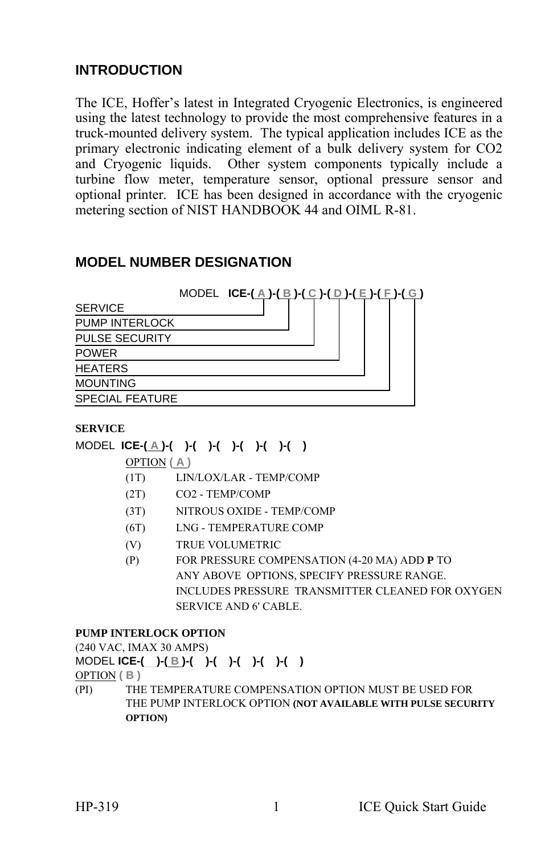#### **INTRODUCTION**

The ICE, Hoffer's latest in Integrated Cryogenic Electronics, is engineered using the latest technology to provide the most comprehensive features in a truck-mounted delivery system. The typical application includes ICE as the primary electronic indicating element of a bulk delivery system for CO2 and Cryogenic liquids. Other system components typically include a turbine flow meter, temperature sensor, optional pressure sensor and optional printer. ICE has been designed in accordance with the cryogenic metering section of NIST HANDBOOK 44 and OIML R-81.

#### **MODEL NUMBER DESIGNATION**

|                        | MODEL ICE- $(\underline{A})$ - $(\underline{B})$ - $(\underline{C})$ - $(\underline{D})$ - $(\underline{E})$ - $(\underline{F})$ - $(\underline{G})$ |  |  |  |
|------------------------|------------------------------------------------------------------------------------------------------------------------------------------------------|--|--|--|
| <b>SERVICE</b>         |                                                                                                                                                      |  |  |  |
| PUMP INTERLOCK         |                                                                                                                                                      |  |  |  |
| <b>PULSE SECURITY</b>  |                                                                                                                                                      |  |  |  |
| <b>POWER</b>           |                                                                                                                                                      |  |  |  |
| <b>HEATERS</b>         |                                                                                                                                                      |  |  |  |
| <b>MOUNTING</b>        |                                                                                                                                                      |  |  |  |
| <b>SPECIAL FEATURE</b> |                                                                                                                                                      |  |  |  |

#### **SERVICE**

#### MODEL **ICE-( A )-( )-( )-( )-( )-( )-( )**

OPTION **( A )**

- (1T) LIN/LOX/LAR TEMP/COMP
- (2T) CO2 TEMP/COMP
- (3T) NITROUS OXIDE TEMP/COMP
- (6T) LNG TEMPERATURE COMP
- (V) TRUE VOLUMETRIC
- (P) FOR PRESSURE COMPENSATION (4-20 MA) ADD **P** TO ANY ABOVE OPTIONS, SPECIFY PRESSURE RANGE. INCLUDES PRESSURE TRANSMITTER CLEANED FOR OXYGEN SERVICE AND 6' CABLE.

#### **PUMP INTERLOCK OPTION**

(240 VAC, IMAX 30 AMPS)

MODEL **ICE-( )-( B )-( )-( )-( )-( )-( )**

OPTION **( B )** 

(PI) THE TEMPERATURE COMPENSATION OPTION MUST BE USED FOR THE PUMP INTERLOCK OPTION **(NOT AVAILABLE WITH PULSE SECURITY OPTION)**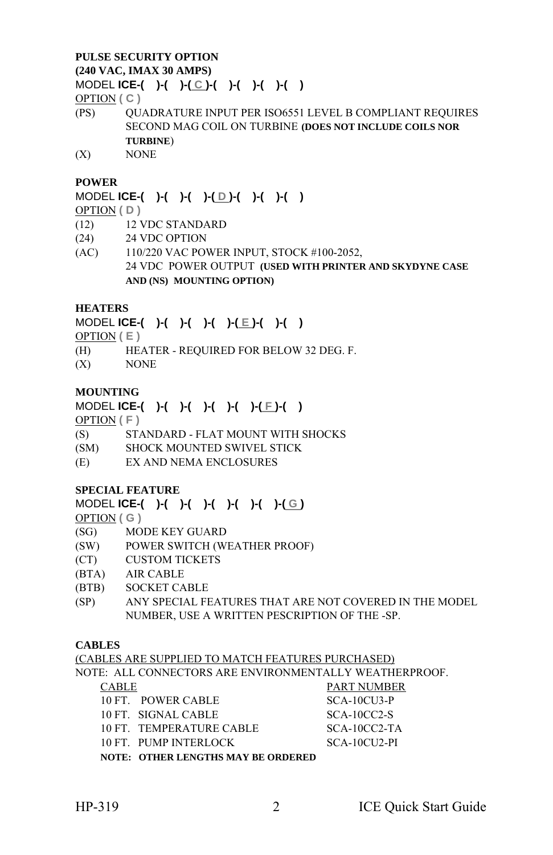#### **PULSE SECURITY OPTION (240 VAC, IMAX 30 AMPS)**

MODEL **ICE-( )-( )-( C )-( )-( )-( )-( )**

OPTION **( C )** 

- (PS) QUADRATURE INPUT PER ISO6551 LEVEL B COMPLIANT REQUIRES SECOND MAG COIL ON TURBINE **(DOES NOT INCLUDE COILS NOR TURBINE**)
- (X) NONE

#### **POWER**

#### MODEL **ICE-( )-( )-( )-( D )-( )-( )-( )**

OPTION **( D )** 

- (12) 12 VDC STANDARD
- (24) 24 VDC OPTION
- (AC) 110/220 VAC POWER INPUT, STOCK #100-2052, 24 VDC POWER OUTPUT **(USED WITH PRINTER AND SKYDYNE CASE AND (NS) MOUNTING OPTION)**

#### **HEATERS**

#### MODEL **ICE-( )-( )-( )-( )-( E )-( )-( )**

OPTION  $(E)$ 

- (H) HEATER REQUIRED FOR BELOW 32 DEG. F.
- (X) NONE

#### **MOUNTING**

MODEL **ICE-( )-( )-( )-( )-( )-( F )-( )** 

OPTION **( F )** 

- (S) STANDARD FLAT MOUNT WITH SHOCKS
- (SM) SHOCK MOUNTED SWIVEL STICK
- (E) EX AND NEMA ENCLOSURES

#### **SPECIAL FEATURE**

#### MODEL **ICE-( )-( )-( )-( )-( )-( )-( G )**

OPTION **( G )**

- (SG) MODE KEY GUARD
- (SW) POWER SWITCH (WEATHER PROOF)
- (CT) CUSTOM TICKETS
- (BTA) AIR CABLE
- (BTB) SOCKET CABLE
- (SP) ANY SPECIAL FEATURES THAT ARE NOT COVERED IN THE MODEL NUMBER, USE A WRITTEN PESCRIPTION OF THE -SP.

#### **CABLES**

|              | (CABLES ARE SUPPLIED TO MATCH FEATURES PURCHASED)      |                    |
|--------------|--------------------------------------------------------|--------------------|
|              | NOTE: ALL CONNECTORS ARE ENVIRONMENTALLY WEATHERPROOF. |                    |
| <b>CABLE</b> |                                                        | <b>PART NUMBER</b> |
|              | 10 FT POWER CABLE                                      | $SCA-10CU3-P$      |
|              | 10 FT. SIGNAL CABLE                                    | $SCA-10CC2-S$      |
|              | 10 FT. TEMPERATURE CABLE                               | $SCA-10CC2-TA$     |
|              | 10 FT. PUMP INTERLOCK                                  | SCA-10CU2-PI       |
|              | <b>NOTE: OTHER LENGTHS MAY BE ORDERED</b>              |                    |
|              |                                                        |                    |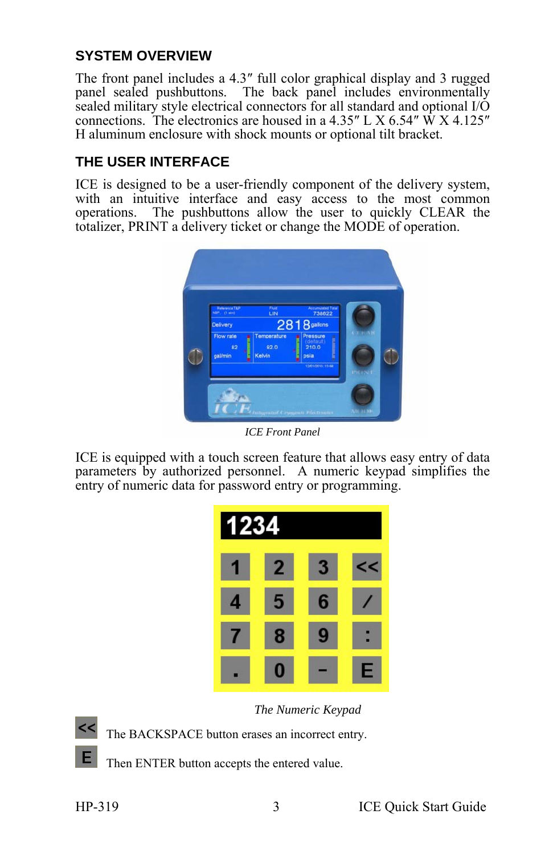#### **SYSTEM OVERVIEW**

The front panel includes a 4.3″ full color graphical display and 3 rugged panel sealed pushbuttons. The back panel includes environmentally sealed military style electrical connectors for all standard and optional I/O connections. The electronics are housed in a  $4.35''$  L X  $6.54''$  W X  $4.125''$ <br>H aluminum enclosure with shock mounts or optional tilt bracket.

#### **THE USER INTERFACE**

ICE is designed to be a user-friendly component of the delivery system, with an intuitive interface and easy access to the most common operations. The pushbuttons allow the user to quickly CLEAR the totalizer, PRINT a delivery ticket or change the MODE of operation.



*ICE Front Panel* 

ICE is equipped with a touch screen feature that allows easy entry of data parameters by authorized personnel. A numeric keypad simplifies the entry of numeric data for password entry or programming.



*The Numeric Keypad* 

The BACKSPACE button erases an incorrect entry.

Then ENTER button accepts the entered value.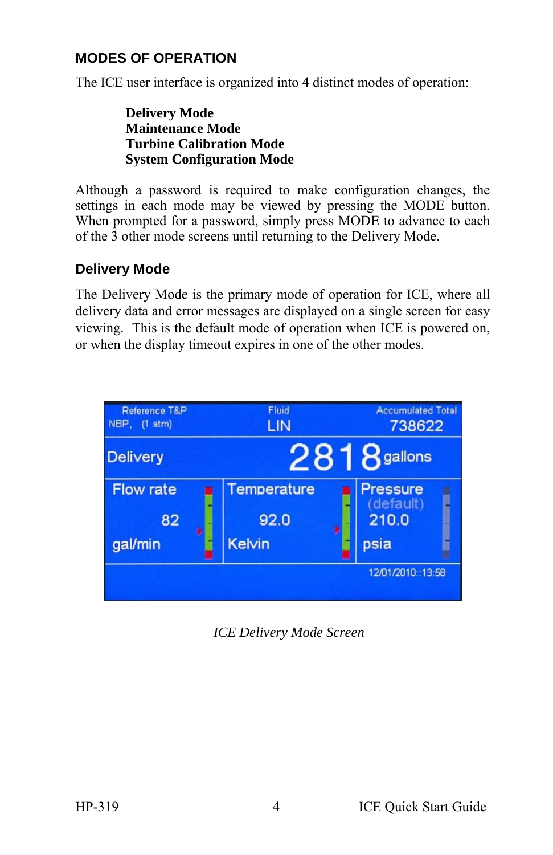#### **MODES OF OPERATION**

The ICE user interface is organized into 4 distinct modes of operation:

**Delivery Mode Maintenance Mode Turbine Calibration Mode System Configuration Mode** 

Although a password is required to make configuration changes, the settings in each mode may be viewed by pressing the MODE button. When prompted for a password, simply press MODE to advance to each of the 3 other mode screens until returning to the Delivery Mode.

#### **Delivery Mode**

The Delivery Mode is the primary mode of operation for ICE, where all delivery data and error messages are displayed on a single screen for easy viewing. This is the default mode of operation when ICE is powered on, or when the display timeout expires in one of the other modes.



*ICE Delivery Mode Screen*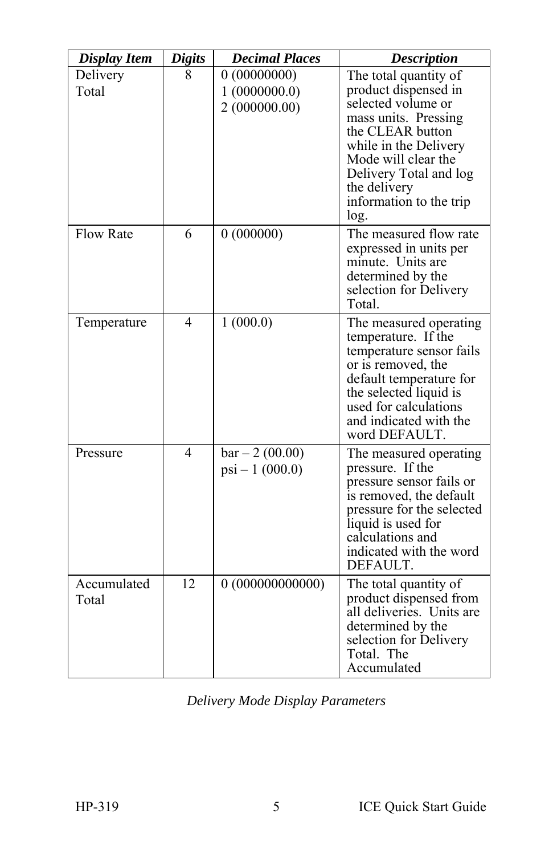| <b>Display Item</b>  | <b>Digits</b> | <b>Decimal Places</b>                       | <b>Description</b>                                                                                                                                                                                                                           |
|----------------------|---------------|---------------------------------------------|----------------------------------------------------------------------------------------------------------------------------------------------------------------------------------------------------------------------------------------------|
| Delivery<br>Total    | 8             | 0(00000000)<br>1(0000000.0)<br>2(000000.00) | The total quantity of<br>product dispensed in<br>selected volume or<br>mass units. Pressing<br>the CLEAR button<br>while in the Delivery<br>Mode will clear the<br>Delivery Total and log<br>the delivery<br>information to the trip<br>log. |
| <b>Flow Rate</b>     | 6             | 0(000000)                                   | The measured flow rate<br>expressed in units per<br>minute. Units are<br>determined by the<br>selection for Delivery<br>Total.                                                                                                               |
| Temperature          | 4             | 1(000.0)                                    | The measured operating<br>temperature. If the<br>temperature sensor fails<br>or is removed, the<br>default temperature for<br>the selected liquid is<br>used for calculations<br>and indicated with the<br>word DEFAULT.                     |
| Pressure             | 4             | $bar - 2 (00.00)$<br>$psi - 1$ (000.0)      | The measured operating<br>pressure. If the<br>pressure sensor fails or<br>is removed, the default<br>pressure for the selected<br>liquid is used for<br>calculations and<br>indicated with the word<br>DEFAULT.                              |
| Accumulated<br>Total | 12            | 0(000000000000)                             | The total quantity of<br>product dispensed from<br>all deliveries. Units are<br>determined by the<br>selection for Delivery<br>Total. The<br>Accumulated                                                                                     |

*Delivery Mode Display Parameters*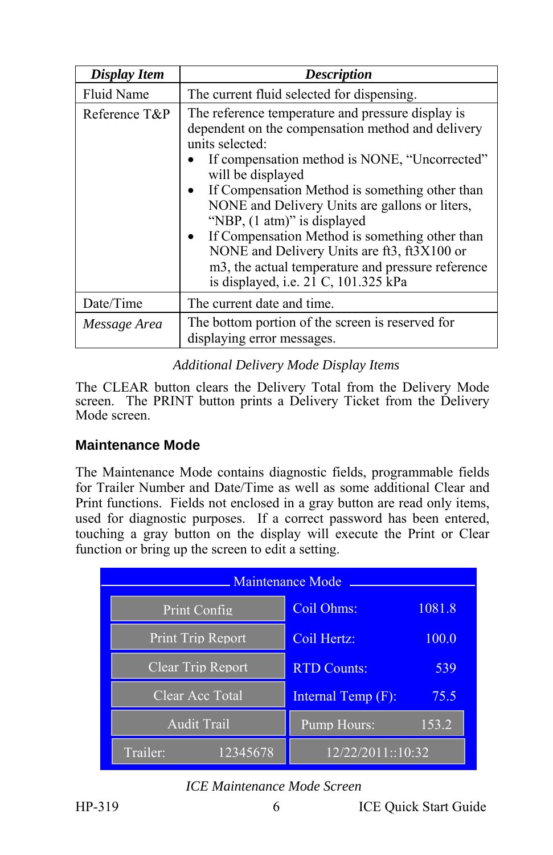| Display Item      | <b>Description</b>                                                                                                                                                                                                                                                                                                                                                                                                                                                                                                                    |
|-------------------|---------------------------------------------------------------------------------------------------------------------------------------------------------------------------------------------------------------------------------------------------------------------------------------------------------------------------------------------------------------------------------------------------------------------------------------------------------------------------------------------------------------------------------------|
| <b>Fluid Name</b> | The current fluid selected for dispensing.                                                                                                                                                                                                                                                                                                                                                                                                                                                                                            |
| Reference T&P     | The reference temperature and pressure display is<br>dependent on the compensation method and delivery<br>units selected:<br>If compensation method is NONE, "Uncorrected"<br>will be displayed<br>If Compensation Method is something other than<br>٠<br>NONE and Delivery Units are gallons or liters,<br>"NBP, (1 atm)" is displayed<br>If Compensation Method is something other than<br>NONE and Delivery Units are ft3, ft3X100 or<br>m3, the actual temperature and pressure reference<br>is displayed, i.e. 21 C, 101.325 kPa |
| Date/Time         | The current date and time.                                                                                                                                                                                                                                                                                                                                                                                                                                                                                                            |
| Message Area      | The bottom portion of the screen is reserved for<br>displaying error messages.                                                                                                                                                                                                                                                                                                                                                                                                                                                        |

#### *Additional Delivery Mode Display Items*

The CLEAR button clears the Delivery Total from the Delivery Mode screen. The PRINT button prints a Delivery Ticket from the Delivery Mode screen.

#### **Maintenance Mode**

The Maintenance Mode contains diagnostic fields, programmable fields for Trailer Number and Date/Time as well as some additional Clear and Print functions. Fields not enclosed in a gray button are read only items, used for diagnostic purposes. If a correct password has been entered, touching a gray button on the display will execute the Print or Clear function or bring up the screen to edit a setting.

| <b>Maintenance Mode</b>  |                    |        |  |  |
|--------------------------|--------------------|--------|--|--|
| Print Config             | Coil Ohms:         | 1081.8 |  |  |
| <b>Print Trip Report</b> | Coil Hertz:        | 100.0  |  |  |
| Clear Trip Report        | <b>RTD Counts:</b> | 539    |  |  |
| Clear Acc Total          | Internal Temp (F): | 75.5   |  |  |
| <b>Audit Trail</b>       | Pump Hours:        | 153.2  |  |  |
| 12345678<br>Trailer:     | 12/22/2011::10:32  |        |  |  |

#### *ICE Maintenance Mode Screen*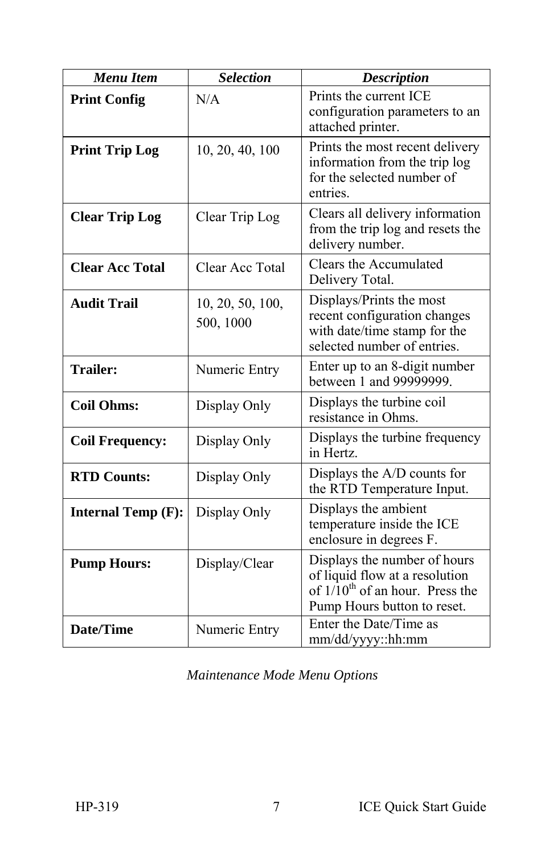| <b>Menu Item</b>          | <b>Selection</b>              | <b>Description</b>                                                                                                                    |
|---------------------------|-------------------------------|---------------------------------------------------------------------------------------------------------------------------------------|
| <b>Print Config</b>       | N/A                           | Prints the current ICE<br>configuration parameters to an<br>attached printer.                                                         |
| <b>Print Trip Log</b>     | 10, 20, 40, 100               | Prints the most recent delivery<br>information from the trip log<br>for the selected number of<br>entries.                            |
| <b>Clear Trip Log</b>     | Clear Trip Log                | Clears all delivery information<br>from the trip log and resets the<br>delivery number.                                               |
| <b>Clear Acc Total</b>    | Clear Acc Total               | Clears the Accumulated<br>Delivery Total.                                                                                             |
| <b>Audit Trail</b>        | 10, 20, 50, 100,<br>500, 1000 | Displays/Prints the most<br>recent configuration changes<br>with date/time stamp for the<br>selected number of entries.               |
| <b>Trailer:</b>           | Numeric Entry                 | Enter up to an 8-digit number<br>between 1 and 99999999.                                                                              |
| <b>Coil Ohms:</b>         | Display Only                  | Displays the turbine coil<br>resistance in Ohms.                                                                                      |
| <b>Coil Frequency:</b>    | Display Only                  | Displays the turbine frequency<br>in Hertz.                                                                                           |
| <b>RTD Counts:</b>        | Display Only                  | Displays the A/D counts for<br>the RTD Temperature Input.                                                                             |
| <b>Internal Temp (F):</b> | Display Only                  | Displays the ambient<br>temperature inside the ICE<br>enclosure in degrees F.                                                         |
| <b>Pump Hours:</b>        | Display/Clear                 | Displays the number of hours<br>of liquid flow at a resolution<br>of $1/10^{th}$ of an hour. Press the<br>Pump Hours button to reset. |
| <b>Date/Time</b>          | Numeric Entry                 | Enter the Date/Time as<br>mm/dd/yyyy::hh:mm                                                                                           |

*Maintenance Mode Menu Options*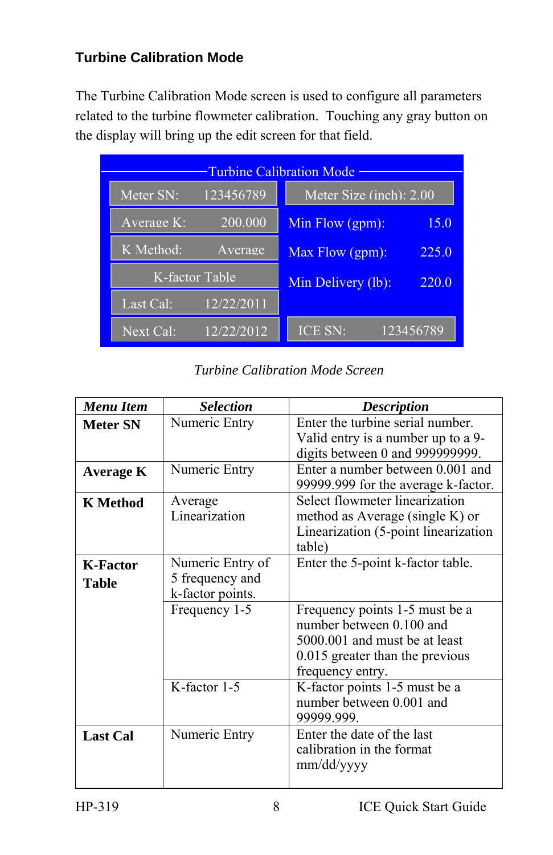#### **Turbine Calibration Mode**

The Turbine Calibration Mode screen is used to configure all parameters related to the turbine flowmeter calibration. Touching any gray button on the display will bring up the edit screen for that field.

| <b>Turbine Calibration Mode</b> |                                              |  |  |  |
|---------------------------------|----------------------------------------------|--|--|--|
| 123456789<br>Meter SN:          | Meter Size $\overline{(\text{inch})}$ : 2.00 |  |  |  |
| 200.000<br>Average $K$ :        | Min Flow (gpm):<br>15.0                      |  |  |  |
| K Method:<br>Average            | Max Flow (gpm):<br>225.0                     |  |  |  |
| K-factor Table                  | Min Delivery (lb):<br>220.0                  |  |  |  |
| 12/22/2011<br>Last Cal:         |                                              |  |  |  |
| 12/22/2012<br>Next Cal:         | ICE SN:<br>123456789                         |  |  |  |

*Turbine Calibration Mode Screen* 

| <b>Menu</b> Item         | <b>Selection</b>                                        | <b>Description</b>                                                                                                                                 |
|--------------------------|---------------------------------------------------------|----------------------------------------------------------------------------------------------------------------------------------------------------|
| <b>Meter SN</b>          | Numeric Entry                                           | Enter the turbine serial number.<br>Valid entry is a number up to a 9-<br>digits between 0 and 999999999.                                          |
| Average K                | Numeric Entry                                           | Enter a number between 0.001 and<br>99999.999 for the average k-factor.                                                                            |
| K Method                 | Average<br>Linearization                                | Select flowmeter linearization<br>method as Average (single K) or<br>Linearization (5-point linearization<br>table)                                |
| <b>K-Factor</b><br>Table | Numeric Entry of<br>5 frequency and<br>k-factor points. | Enter the 5-point k-factor table.                                                                                                                  |
|                          | Frequency 1-5                                           | Frequency points 1-5 must be a<br>number between 0.100 and<br>5000 001 and must be at least<br>0.015 greater than the previous<br>frequency entry. |
|                          | K-factor 1-5                                            | K-factor points 1-5 must be a<br>number between 0.001 and<br>99999.999.                                                                            |
| <b>Last Cal</b>          | Numeric Entry                                           | Enter the date of the last<br>calibration in the format<br>mm/dd/yyyy                                                                              |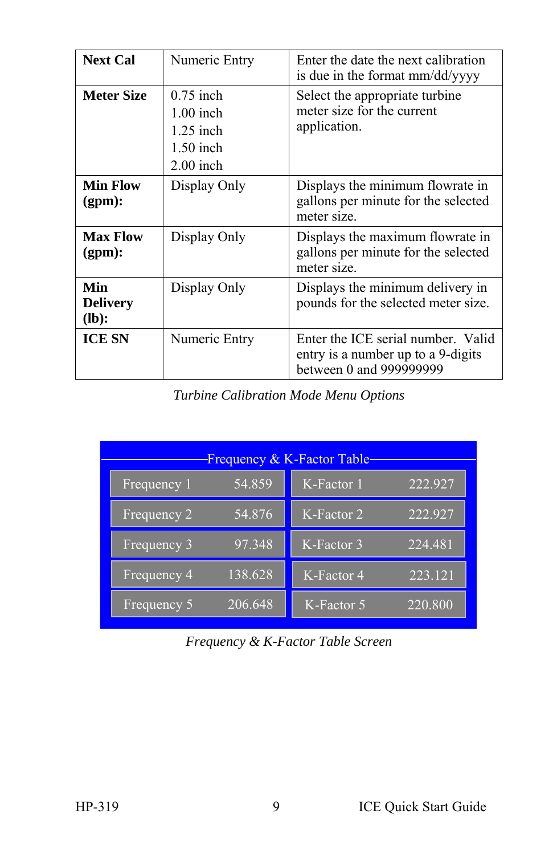| <b>Next Cal</b>                  | Numeric Entry                                                           | Enter the date the next calibration<br>is due in the format mm/dd/yyyy                              |
|----------------------------------|-------------------------------------------------------------------------|-----------------------------------------------------------------------------------------------------|
| <b>Meter Size</b>                | $0.75$ inch<br>$1.00$ inch<br>$1.25$ inch<br>$1.50$ inch<br>$2.00$ inch | Select the appropriate turbine<br>meter size for the current<br>application.                        |
| Min Flow<br>(gpm):               | Display Only                                                            | Displays the minimum flowrate in<br>gallons per minute for the selected<br>meter size.              |
| <b>Max Flow</b><br>(gpm):        | Display Only                                                            | Displays the maximum flowrate in<br>gallons per minute for the selected<br>meter size.              |
| Min<br><b>Delivery</b><br>$(lb)$ | Display Only                                                            | Displays the minimum delivery in<br>pounds for the selected meter size.                             |
| <b>ICE SN</b>                    | Numeric Entry                                                           | Enter the ICE serial number. Valid<br>entry is a number up to a 9-digits<br>between 0 and 999999999 |

*Turbine Calibration Mode Menu Options* 

| Frequency & K-Factor Table- |         |            |         |  |  |
|-----------------------------|---------|------------|---------|--|--|
| Frequency 1                 | 54.859  | K-Factor 1 | 222.927 |  |  |
| Frequency $2$               | 54.876  | K-Factor 2 | 222.927 |  |  |
| Frequency 3                 | 97.348  | K-Factor 3 | 224.481 |  |  |
| Frequency 4                 | 138.628 | K-Factor 4 | 223.121 |  |  |
| Frequency 5                 | 206.648 | K-Factor 5 | 220.800 |  |  |

*Frequency & K-Factor Table Screen*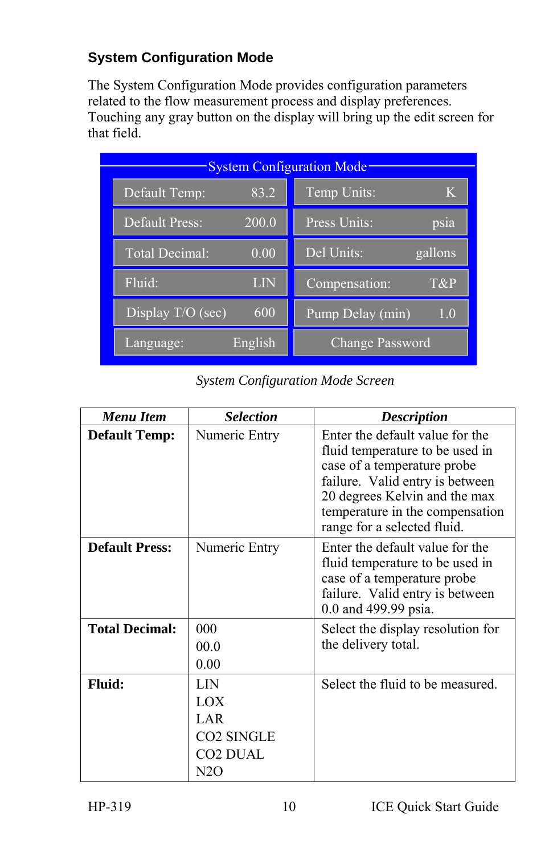#### **System Configuration Mode**

The System Configuration Mode provides configuration parameters related to the flow measurement process and display preferences. Touching any gray button on the display will bring up the edit screen for that field.

| <b>System Configuration Mode</b> |                  |
|----------------------------------|------------------|
| 83.2                             | Temp Units:      |
| Default Temp:                    | Κ                |
| 200.0                            | Press Units:     |
| <b>Default Press:</b>            | psia             |
| Total Decimal:                   | Del Units:       |
| 0.00                             | gallons          |
| Fluid:                           | Compensation:    |
| LIN                              | T&P              |
| Display T/O (sec)                | Pump Delay (min) |
| 600                              | 1.0              |
| English<br>Language:             | Change Password  |

*System Configuration Mode Screen* 

| Menu Item             | <b>Selection</b>                                                                           | <b>Description</b>                                                                                                                                                                                                                      |
|-----------------------|--------------------------------------------------------------------------------------------|-----------------------------------------------------------------------------------------------------------------------------------------------------------------------------------------------------------------------------------------|
| <b>Default Temp:</b>  | Numeric Entry                                                                              | Enter the default value for the<br>fluid temperature to be used in<br>case of a temperature probe<br>failure. Valid entry is between<br>20 degrees Kelvin and the max<br>temperature in the compensation<br>range for a selected fluid. |
| <b>Default Press:</b> | Numeric Entry                                                                              | Enter the default value for the<br>fluid temperature to be used in<br>case of a temperature probe<br>failure. Valid entry is between<br>0.0 and 499.99 psia.                                                                            |
| <b>Total Decimal:</b> | 000<br>00.0<br>0.00                                                                        | Select the display resolution for<br>the delivery total.                                                                                                                                                                                |
| <b>Fluid:</b>         | LIN<br>LOX<br>LAR <sup>1</sup><br><b>CO2 SINGLE</b><br><b>CO2 DUAL</b><br>N <sub>2</sub> O | Select the fluid to be measured.                                                                                                                                                                                                        |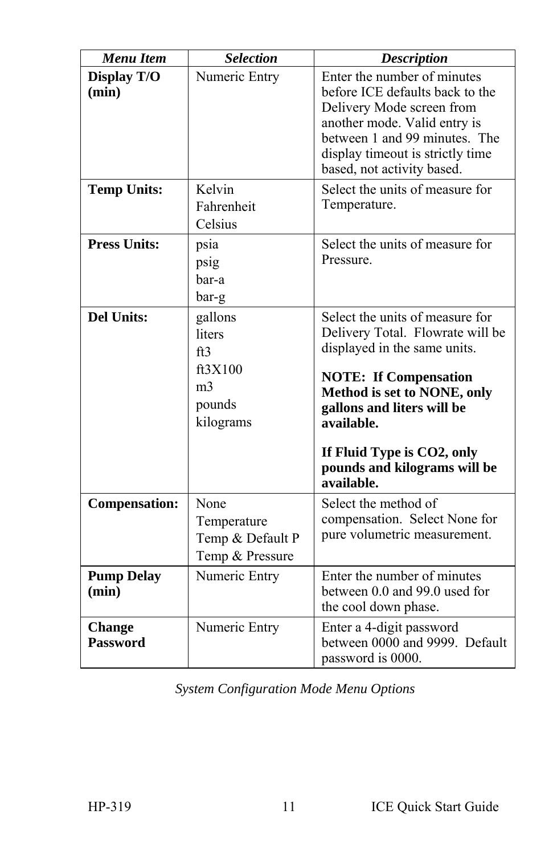| <b>Menu Item</b>                 | <b>Selection</b>                                                             | <b>Description</b>                                                                                                                                                                                                                                                                         |
|----------------------------------|------------------------------------------------------------------------------|--------------------------------------------------------------------------------------------------------------------------------------------------------------------------------------------------------------------------------------------------------------------------------------------|
| <b>Display T/O</b><br>(min)      | Numeric Entry                                                                | Enter the number of minutes<br>before ICE defaults back to the<br>Delivery Mode screen from<br>another mode. Valid entry is<br>between 1 and 99 minutes. The<br>display timeout is strictly time<br>based, not activity based.                                                             |
| <b>Temp Units:</b>               | Kelvin<br>Fahrenheit<br>Celsius                                              | Select the units of measure for<br>Temperature.                                                                                                                                                                                                                                            |
| <b>Press Units:</b>              | psia<br>psig<br>bar-a<br>bar-g                                               | Select the units of measure for<br>Pressure.                                                                                                                                                                                                                                               |
| <b>Del Units:</b>                | gallons<br>liters<br>ft3<br>ft3X100<br>m <sub>3</sub><br>pounds<br>kilograms | Select the units of measure for<br>Delivery Total. Flowrate will be<br>displayed in the same units.<br><b>NOTE: If Compensation</b><br>Method is set to NONE, only<br>gallons and liters will be<br>available.<br>If Fluid Type is CO2, only<br>pounds and kilograms will be<br>available. |
| <b>Compensation:</b>             | None<br>Temperature<br>Temp & Default P<br>Temp & Pressure                   | Select the method of<br>compensation. Select None for<br>pure volumetric measurement.                                                                                                                                                                                                      |
| <b>Pump Delay</b><br>(min)       | Numeric Entry                                                                | Enter the number of minutes<br>between 0.0 and 99.0 used for<br>the cool down phase.                                                                                                                                                                                                       |
| <b>Change</b><br><b>Password</b> | Numeric Entry                                                                | Enter a 4-digit password<br>between 0000 and 9999. Default<br>password is 0000.                                                                                                                                                                                                            |

*System Configuration Mode Menu Options*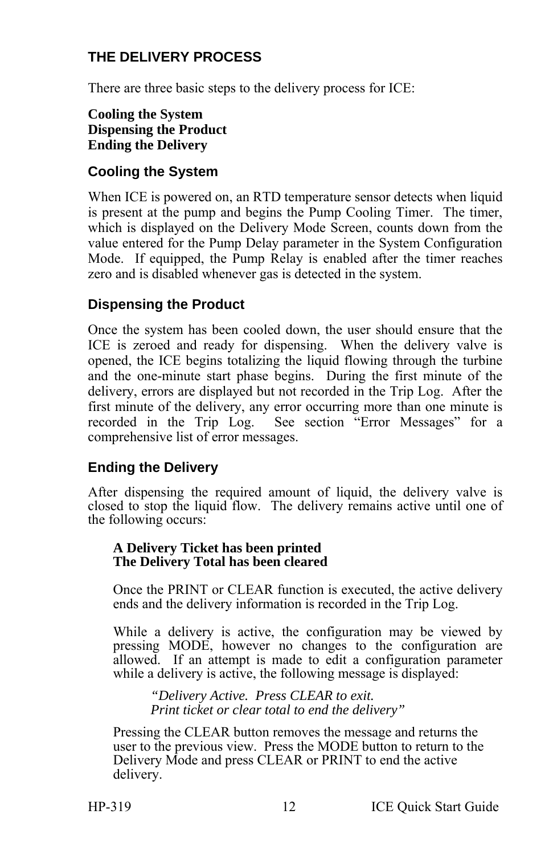#### **THE DELIVERY PROCESS**

There are three basic steps to the delivery process for ICE:

#### **Cooling the System Dispensing the Product Ending the Delivery**

#### **Cooling the System**

When ICE is powered on, an RTD temperature sensor detects when liquid is present at the pump and begins the Pump Cooling Timer. The timer, which is displayed on the Delivery Mode Screen, counts down from the value entered for the Pump Delay parameter in the System Configuration Mode. If equipped, the Pump Relay is enabled after the timer reaches zero and is disabled whenever gas is detected in the system.

#### **Dispensing the Product**

Once the system has been cooled down, the user should ensure that the ICE is zeroed and ready for dispensing. When the delivery valve is opened, the ICE begins totalizing the liquid flowing through the turbine and the one-minute start phase begins. During the first minute of the delivery, errors are displayed but not recorded in the Trip Log. After the first minute of the delivery, any error occurring more than one minute is recorded in the Trip Log. See section "Error Messages" for a comprehensive list of error messages.

#### **Ending the Delivery**

After dispensing the required amount of liquid, the delivery valve is closed to stop the liquid flow. The delivery remains active until one of the following occurs:

#### **A Delivery Ticket has been printed The Delivery Total has been cleared**

Once the PRINT or CLEAR function is executed, the active delivery ends and the delivery information is recorded in the Trip Log.

While a delivery is active, the configuration may be viewed by pressing MODE, however no changes to the configuration are allowed. If an attempt is made to edit a configuration parameter while a delivery is active, the following message is displayed:

*"Delivery Active. Press CLEAR to exit. Print ticket or clear total to end the delivery"* 

Pressing the CLEAR button removes the message and returns the user to the previous view. Press the MODE button to return to the Delivery Mode and press CLEAR or PRINT to end the active delivery.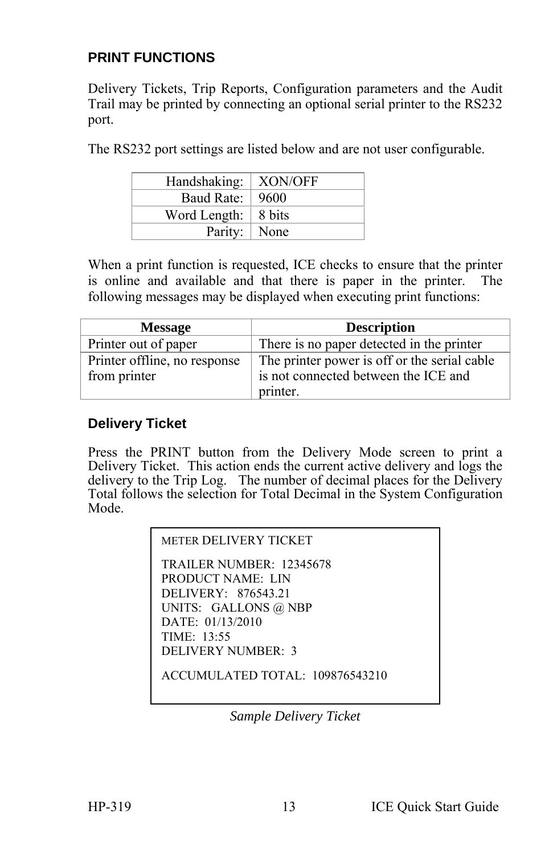#### **PRINT FUNCTIONS**

Delivery Tickets, Trip Reports, Configuration parameters and the Audit Trail may be printed by connecting an optional serial printer to the RS232 port.

The RS232 port settings are listed below and are not user configurable.

| Handshaking:                | XON/OFF |
|-----------------------------|---------|
| Baud Rate:                  | 9600    |
| Word Length: $\vert$ 8 bits |         |
| Parity:   None              |         |

When a print function is requested, ICE checks to ensure that the printer is online and available and that there is paper in the printer. The following messages may be displayed when executing print functions:

| <b>Message</b>               | <b>Description</b>                           |
|------------------------------|----------------------------------------------|
| Printer out of paper         | There is no paper detected in the printer    |
| Printer offline, no response | The printer power is off or the serial cable |
| from printer                 | is not connected between the ICE and         |
|                              | printer.                                     |

#### **Delivery Ticket**

Press the PRINT button from the Delivery Mode screen to print a Delivery Ticket. This action ends the current active delivery and logs the delivery to the Trip Log. The number of decimal places for the Delivery Total follows the selection for Total Decimal in the System Configuration Mode.

```
METER DELIVERY TICKET 
TRAILER NUMBER: 12345678 
PRODUCT NAME: LIN 
DELIVERY: 876543.21 
UNITS: GALLONS @ NBP 
DATE: 01/13/2010 
TIME: 13:55 
DELIVERY NUMBER: 3 
ACCUMULATED TOTAL: 109876543210
```
*Sample Delivery Ticket*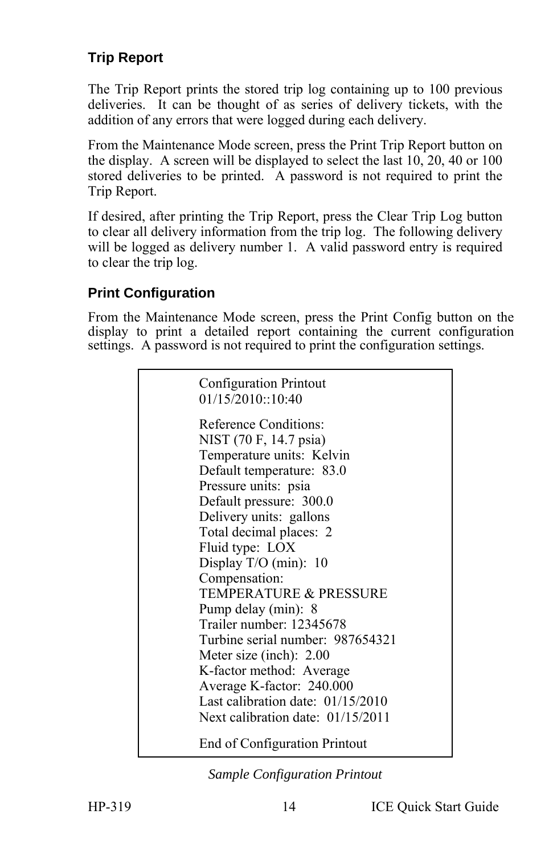### **Trip Report**

The Trip Report prints the stored trip log containing up to 100 previous deliveries. It can be thought of as series of delivery tickets, with the addition of any errors that were logged during each delivery.

From the Maintenance Mode screen, press the Print Trip Report button on the display. A screen will be displayed to select the last 10, 20, 40 or 100 stored deliveries to be printed. A password is not required to print the Trip Report.

If desired, after printing the Trip Report, press the Clear Trip Log button to clear all delivery information from the trip log. The following delivery will be logged as delivery number 1. A valid password entry is required to clear the trip log.

#### **Print Configuration**

From the Maintenance Mode screen, press the Print Config button on the display to print a detailed report containing the current configuration settings. A password is not required to print the configuration settings.

| Configuration Printout<br>01/15/2010::10:40                                                                                                                                                                                                                                                                                                                                                                                                                                                                                                |
|--------------------------------------------------------------------------------------------------------------------------------------------------------------------------------------------------------------------------------------------------------------------------------------------------------------------------------------------------------------------------------------------------------------------------------------------------------------------------------------------------------------------------------------------|
| Reference Conditions:<br>NIST (70 F, 14.7 psia)<br>Temperature units: Kelvin<br>Default temperature: 83.0<br>Pressure units: psia<br>Default pressure: 300.0<br>Delivery units: gallons<br>Total decimal places: 2<br>Fluid type: LOX<br>Display $T/O$ (min): 10<br>Compensation:<br><b>TEMPERATURE &amp; PRESSURE</b><br>Pump delay (min): 8<br>Trailer number: 12345678<br>Turbine serial number: 987654321<br>Meter size (inch): $2.00$<br>K-factor method: Average<br>Average K-factor: 240.000<br>Last calibration date: $01/15/2010$ |
| Next calibration date: $01/15/2011$<br>End of Configuration Printout                                                                                                                                                                                                                                                                                                                                                                                                                                                                       |
|                                                                                                                                                                                                                                                                                                                                                                                                                                                                                                                                            |

*Sample Configuration Printout*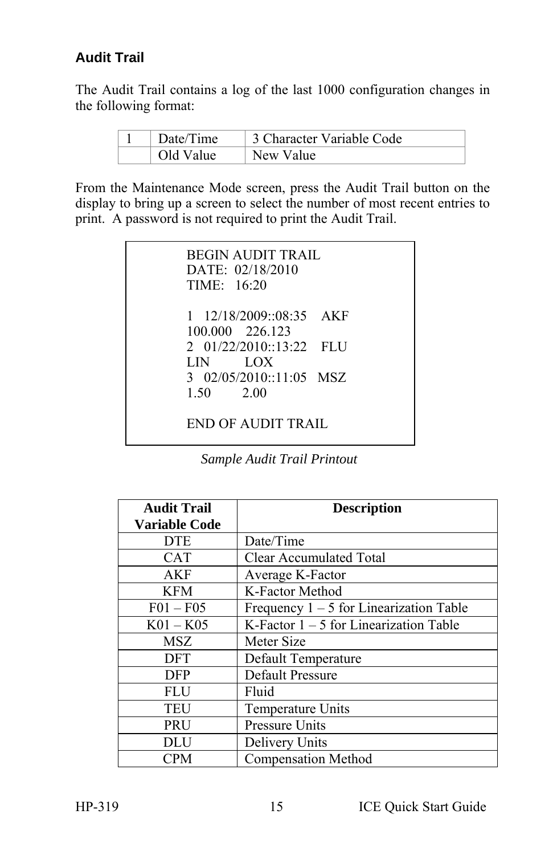#### **Audit Trail**

The Audit Trail contains a log of the last 1000 configuration changes in the following format:

| Date/Time | 3 Character Variable Code |
|-----------|---------------------------|
| Old Value | New Value                 |

From the Maintenance Mode screen, press the Audit Trail button on the display to bring up a screen to select the number of most recent entries to print. A password is not required to print the Audit Trail.

| <b>BEGIN AUDIT TRAIL</b><br>DATE: 02/18/2010<br>TIME: 16:20 |
|-------------------------------------------------------------|
| 1 12/18/2009::08:35 AKF<br>100.000 226.123                  |
| $2 \quad 01/22/2010::13:22$ FLU<br>LOX<br>LIN –             |
| 3 $02/05/2010::11:05$ MSZ<br>2.00<br>1.50                   |
| END OF AUDIT TRAIL                                          |

*Sample Audit Trail Printout* 

| <b>Audit Trail</b>   | <b>Description</b>                        |
|----------------------|-------------------------------------------|
| <b>Variable Code</b> |                                           |
| <b>DTE</b>           | Date/Time                                 |
| <b>CAT</b>           | Clear Accumulated Total                   |
| AKF                  | Average K-Factor                          |
| <b>KFM</b>           | K-Factor Method                           |
| $F01 - F05$          | Frequency $1 - 5$ for Linearization Table |
| $K01 - K05$          | K-Factor $1 - 5$ for Linearization Table  |
| MSZ                  | Meter Size                                |
| <b>DFT</b>           | Default Temperature                       |
| <b>DFP</b>           | Default Pressure                          |
| FLU                  | Fluid                                     |
| TEU                  | Temperature Units                         |
| <b>PRU</b>           | <b>Pressure Units</b>                     |
| DLU                  | Delivery Units                            |
| CPM                  | <b>Compensation Method</b>                |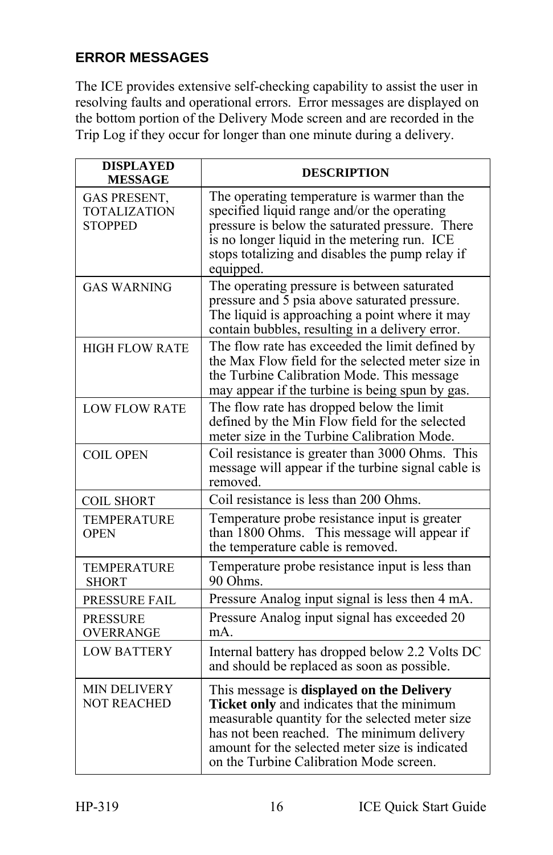#### **ERROR MESSAGES**

The ICE provides extensive self-checking capability to assist the user in resolving faults and operational errors. Error messages are displayed on the bottom portion of the Delivery Mode screen and are recorded in the Trip Log if they occur for longer than one minute during a delivery.

| <b>DISPLAYED</b><br><b>MESSAGE</b>                    | <b>DESCRIPTION</b>                                                                                                                                                                                                                                                                     |
|-------------------------------------------------------|----------------------------------------------------------------------------------------------------------------------------------------------------------------------------------------------------------------------------------------------------------------------------------------|
| GAS PRESENT,<br><b>TOTALIZATION</b><br><b>STOPPED</b> | The operating temperature is warmer than the<br>specified liquid range and/or the operating<br>pressure is below the saturated pressure. There<br>is no longer liquid in the metering run. ICE<br>stops totalizing and disables the pump relay if<br>equipped.                         |
| <b>GAS WARNING</b>                                    | The operating pressure is between saturated<br>pressure and 5 psia above saturated pressure.<br>The liquid is approaching a point where it may<br>contain bubbles, resulting in a delivery error.                                                                                      |
| <b>HIGH FLOW RATE</b>                                 | The flow rate has exceeded the limit defined by<br>the Max Flow field for the selected meter size in<br>the Turbine Calibration Mode. This message<br>may appear if the turbine is being spun by gas.                                                                                  |
| <b>LOW FLOW RATE</b>                                  | The flow rate has dropped below the limit<br>defined by the Min Flow field for the selected<br>meter size in the Turbine Calibration Mode.                                                                                                                                             |
| <b>COIL OPEN</b>                                      | Coil resistance is greater than 3000 Ohms. This<br>message will appear if the turbine signal cable is<br>removed.                                                                                                                                                                      |
| <b>COIL SHORT</b>                                     | Coil resistance is less than 200 Ohms.                                                                                                                                                                                                                                                 |
| <b>TEMPERATURE</b><br><b>OPEN</b>                     | Temperature probe resistance input is greater<br>than 1800 Ohms. This message will appear if<br>the temperature cable is removed.                                                                                                                                                      |
| <b>TEMPERATURE</b><br>SHORT                           | Temperature probe resistance input is less than<br>90 Ohms.                                                                                                                                                                                                                            |
| PRESSURE FAIL                                         | Pressure Analog input signal is less then 4 mA.                                                                                                                                                                                                                                        |
| <b>PRESSURE</b><br><b>OVERRANGE</b>                   | Pressure Analog input signal has exceeded 20<br>mA.                                                                                                                                                                                                                                    |
| <b>LOW BATTERY</b>                                    | Internal battery has dropped below 2.2 Volts DC<br>and should be replaced as soon as possible.                                                                                                                                                                                         |
| <b>MIN DELIVERY</b><br><b>NOT REACHED</b>             | This message is displayed on the Delivery<br>Ticket only and indicates that the minimum<br>measurable quantity for the selected meter size<br>has not been reached. The minimum delivery<br>amount for the selected meter size is indicated<br>on the Turbine Calibration Mode screen. |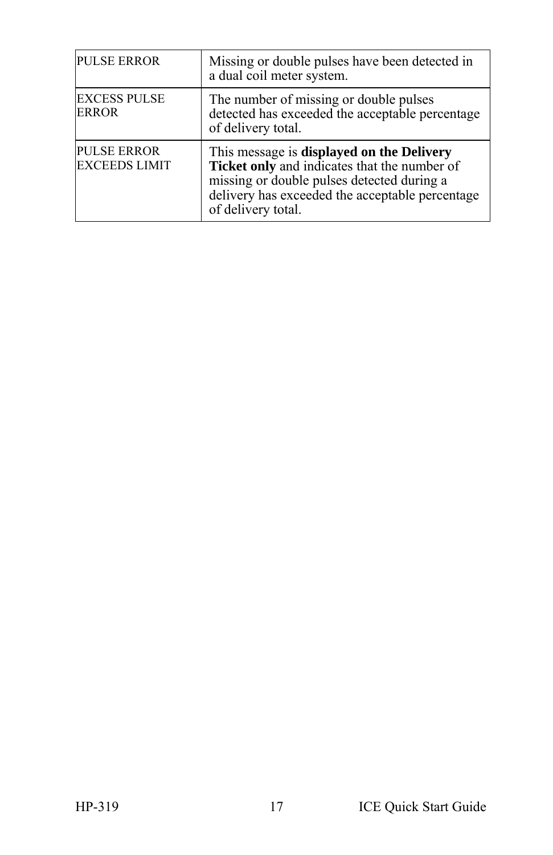| <b>PULSE ERROR</b>                         | Missing or double pulses have been detected in<br>a dual coil meter system.                                                                                                                                      |
|--------------------------------------------|------------------------------------------------------------------------------------------------------------------------------------------------------------------------------------------------------------------|
| <b>EXCESS PULSE</b><br><b>ERROR</b>        | The number of missing or double pulses<br>detected has exceeded the acceptable percentage<br>of delivery total.                                                                                                  |
| <b>PULSE ERROR</b><br><b>EXCEEDS LIMIT</b> | This message is displayed on the Delivery<br>Ticket only and indicates that the number of<br>missing or double pulses detected during a<br>delivery has exceeded the acceptable percentage<br>of delivery total. |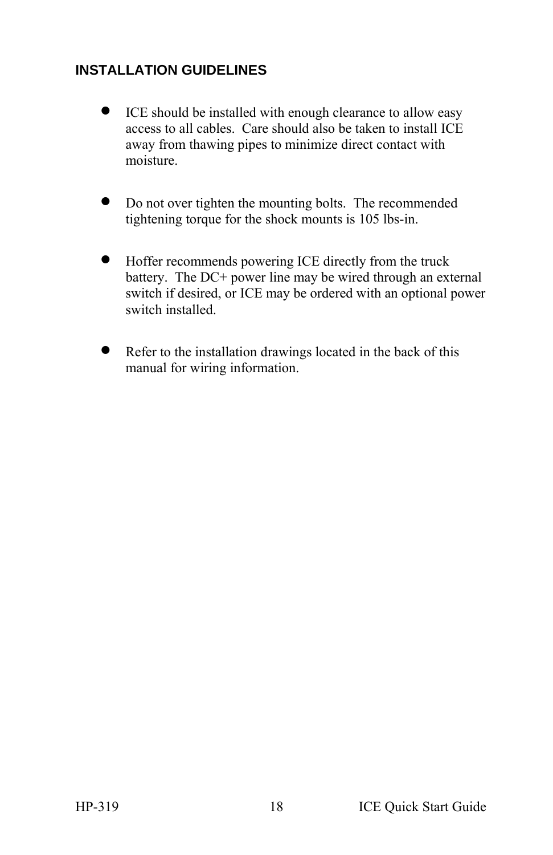#### **INSTALLATION GUIDELINES**

- ICE should be installed with enough clearance to allow easy access to all cables. Care should also be taken to install ICE away from thawing pipes to minimize direct contact with moisture.
- Do not over tighten the mounting bolts. The recommended tightening torque for the shock mounts is 105 lbs-in.
- Hoffer recommends powering ICE directly from the truck battery. The DC+ power line may be wired through an external switch if desired, or ICE may be ordered with an optional power switch installed.
- Refer to the installation drawings located in the back of this manual for wiring information.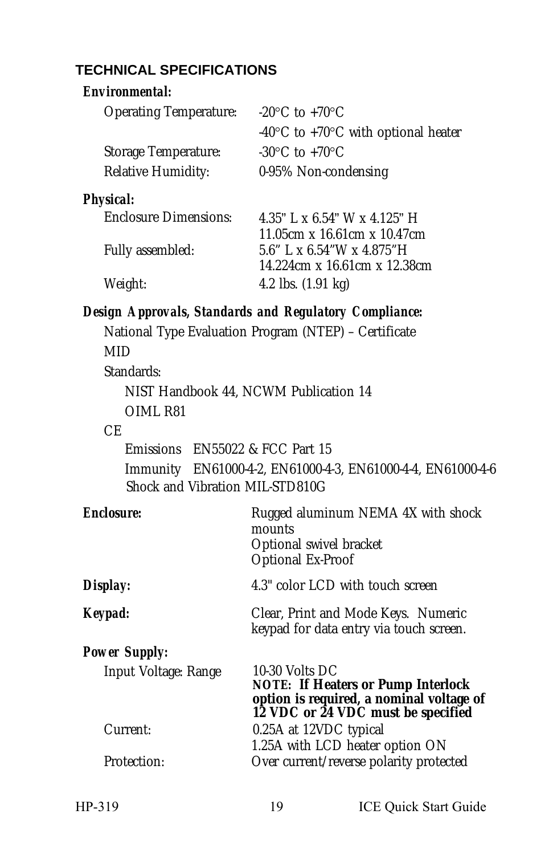#### **TECHNICAL SPECIFICATIONS**

| <i><b>Fnvironmental:</b></i>                           |                                                                                            |  |
|--------------------------------------------------------|--------------------------------------------------------------------------------------------|--|
| Operating Temperature:                                 | $-20^{\circ}$ C to $+70^{\circ}$ C                                                         |  |
|                                                        | $-40^{\circ}$ C to $+70^{\circ}$ C with optional heater                                    |  |
| Storage Temperature:                                   | $-30^{\circ}$ C to $+70^{\circ}$ C                                                         |  |
| Relative Humidity:                                     | 0-95% Non-condensing                                                                       |  |
| Physical:                                              |                                                                                            |  |
| <b>Enclosure Dimensions:</b>                           | $4.35"$   x 6.54" W x 4.125" H                                                             |  |
| Fully assembled:                                       | 11.05cm x 16.61cm x 10.47cm<br>$5.6"$   x 6.54"W x 4.875"H<br>14.224cm x 16.61cm x 12.38cm |  |
| Weight:                                                | 4.2 lbs. (1.91 kg)                                                                         |  |
| Design Approvals, Standards and Regulatory Compliance: |                                                                                            |  |

 National Type Evaluation Program (NTEP) – Certificate MID Standards: NIST Handbook 44, NCWM Publication 14 OIML R81 CE Emissions EN55022 & FCC Part 15 Immunity EN61000-4-2, EN61000-4-3, EN61000-4-4, EN61000-4-6 Shock and Vibration MIL-STD810G

| <b>Fnclosure</b>     | Rugged aluminum NEMA 4X with shock<br>mounts<br>Optional swivel bracket<br>Optional Ex-Proof                                           |
|----------------------|----------------------------------------------------------------------------------------------------------------------------------------|
| Display:             | 4.3" color LCD with touch screen                                                                                                       |
| Keypad:              | Clear, Print and Mode Keys. Numeric<br>keypad for data entry via touch screen.                                                         |
| Power Supply:        |                                                                                                                                        |
| Input Voltage: Range | 10-30 Volts DC<br>NOTE: If Heaters or Pump Interlock<br>option is required, a nominal voltage of<br>12 VDC or 24 VDC must be specified |
| Current:             | 0.25A at 12VDC typical<br>1.25A with LCD heater option ON                                                                              |
| Protection:          | Over current/reverse polarity protected                                                                                                |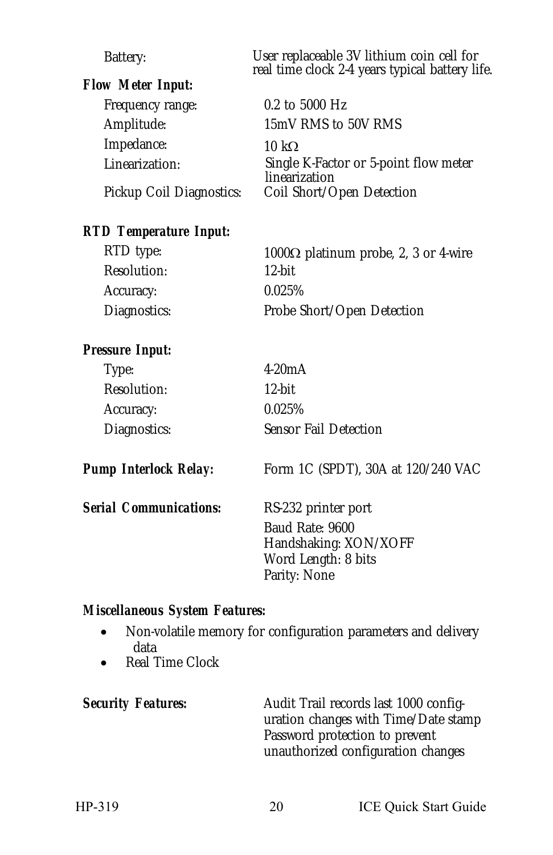| Battery:                 | User replaceable 3V lithium coin cell for<br>real time clock 2-4 years typical battery life.           |
|--------------------------|--------------------------------------------------------------------------------------------------------|
| Flow Meter Input:        |                                                                                                        |
| Frequency range:         | $0.2$ to 5000 Hz                                                                                       |
| Amplitude:               | 15mV RMS to 50V RMS                                                                                    |
| Impedance:               | 10 k $\Omega$                                                                                          |
| Linearization:           | Single K-Factor or 5-point flow meter<br>linearization                                                 |
| Pickup Coil Diagnostics: | Coil Short/Open Detection                                                                              |
| RTD Temperature Input:   |                                                                                                        |
| RTD type:                | 1000 $\Omega$ platinum probe, 2, 3 or 4-wire                                                           |
| Resolution:              | $12$ -hit                                                                                              |
| Accuracy:                | 0.025%                                                                                                 |
| Diagnostics:             | Probe Short/Open Detection                                                                             |
| Pressure Input:          |                                                                                                        |
| Type:                    | 4.20mA                                                                                                 |
| Resolution:              | $12$ -bit                                                                                              |
| Accuracy:                | 0.025%                                                                                                 |
| Diagnostics:             | Sensor Fail Detection                                                                                  |
| Pump Interlock Relay:    | Form 1C (SPDT), 30A at 120/240 VAC                                                                     |
| Serial Communications:   | RS-232 printer port<br>Baud Rate: 9600<br>Handshaking: XON/XOFF<br>Word Length: 8 bits<br>Parity: None |

#### *Miscellaneous System Features:*

- Non-volatile memory for configuration parameters and delivery data
- Real Time Clock

Security Features: **Audit Trail records last 1000 config**uration changes with Time/Date stamp Password protection to prevent unauthorized configuration changes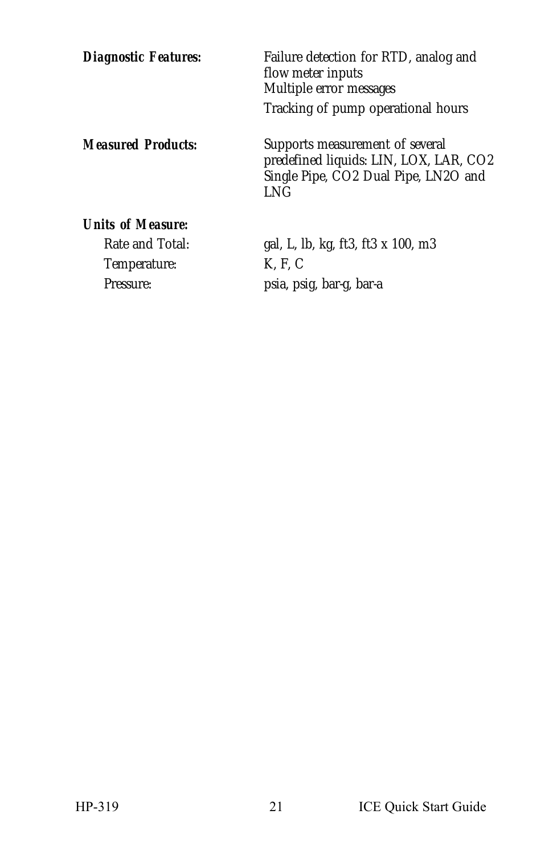| Diagnostic Features:                                              | Failure detection for RTD, analog and<br>flow meter inputs<br>Multiple error messages<br>Tracking of pump operational hours |
|-------------------------------------------------------------------|-----------------------------------------------------------------------------------------------------------------------------|
| Measured Products:                                                | Supports measurement of several<br>predefined liquids: LIN, LOX, LAR, CO2<br>Single Pipe, CO2 Dual Pipe, LN2O and<br>I NG   |
| Units of Measure:<br>Rate and Total:<br>Temperature:<br>Pressure: | gal, L, lb, kg, ft3, ft3 x 100, m3<br>K. F. C<br>psia, psig, bar-g, bar-a                                                   |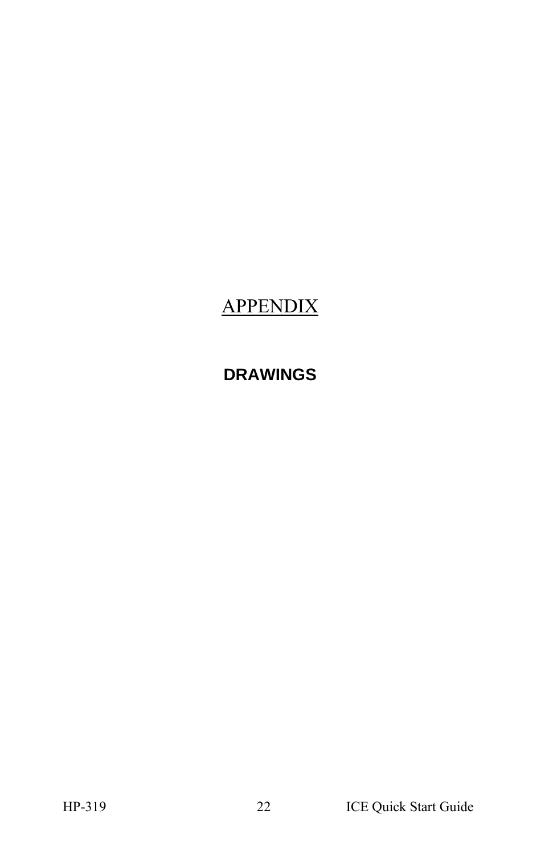### APPENDIX

### **DRAWINGS**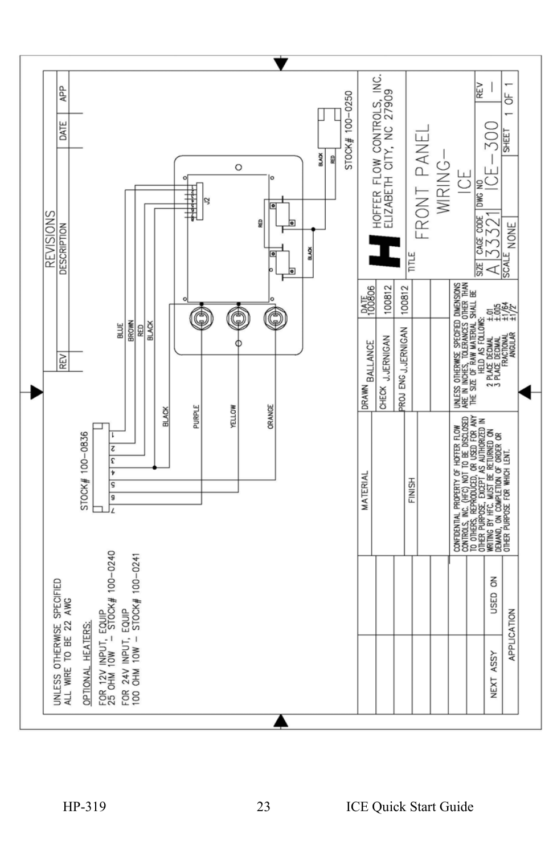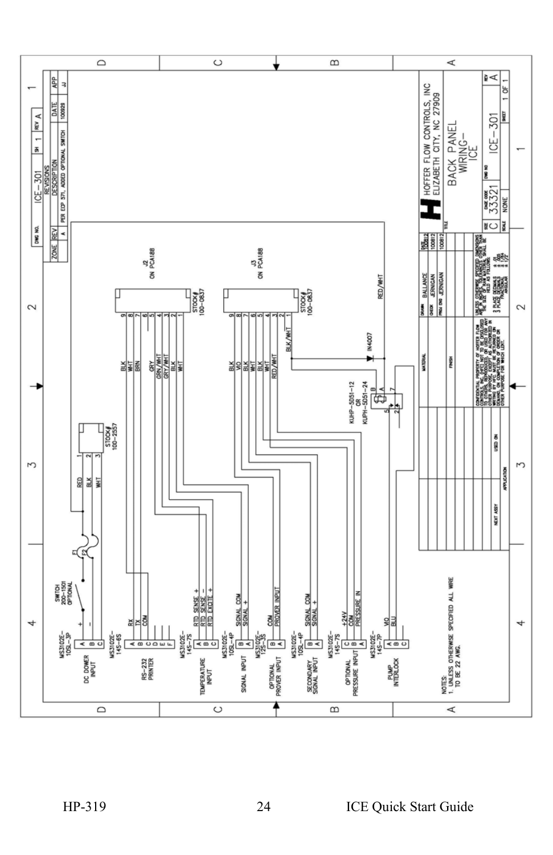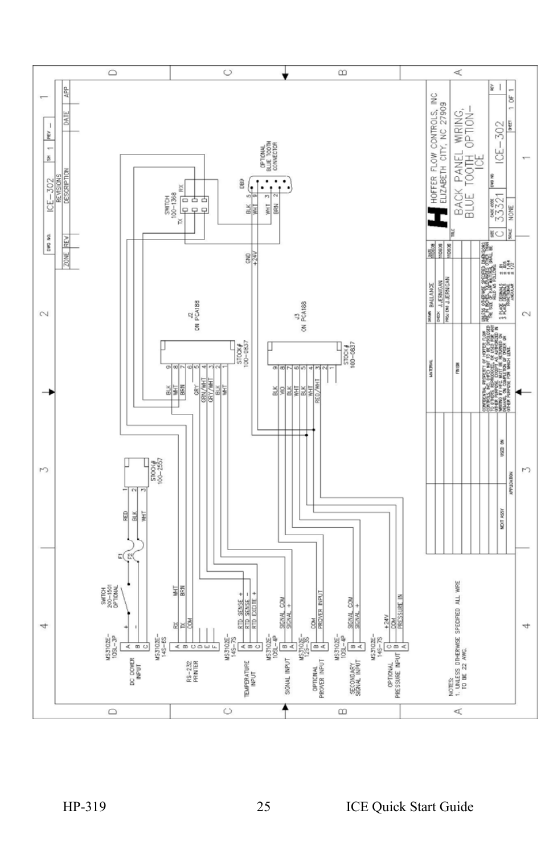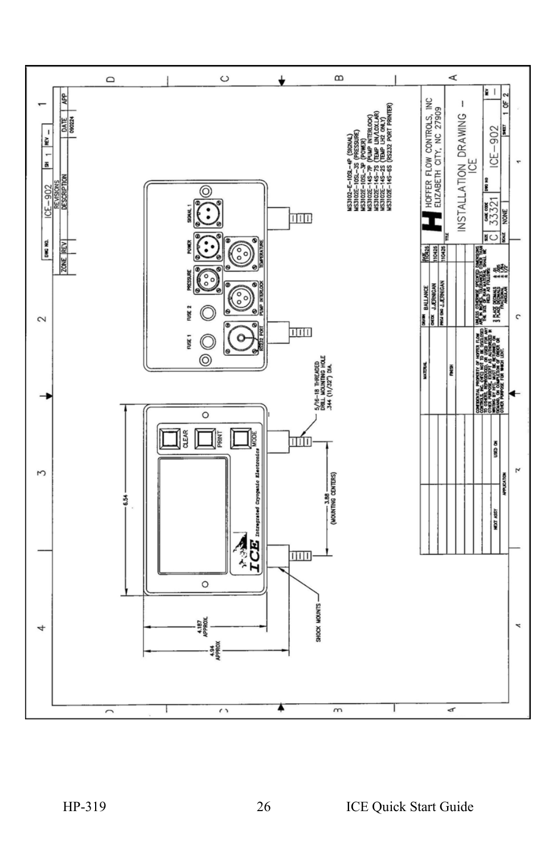